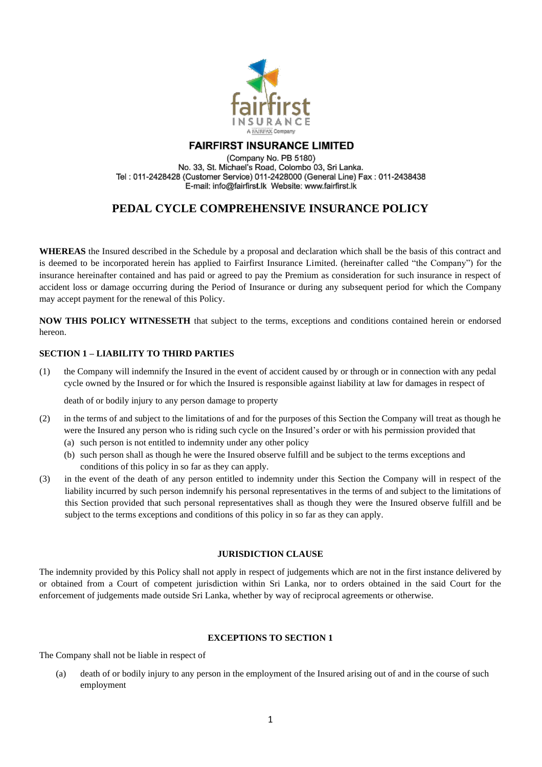

# **FAIRFIRST INSURANCE LIMITED**

(Company No. PB 5180) No. 33, St. Michael's Road, Colombo 03, Sri Lanka. Tel: 011-2428428 (Customer Service) 011-2428000 (General Line) Fax: 011-2438438 E-mail: info@fairfirst.lk Website: www.fairfirst.lk

# **PEDAL CYCLE COMPREHENSIVE INSURANCE POLICY**

**WHEREAS** the Insured described in the Schedule by a proposal and declaration which shall be the basis of this contract and is deemed to be incorporated herein has applied to Fairfirst Insurance Limited. (hereinafter called "the Company") for the insurance hereinafter contained and has paid or agreed to pay the Premium as consideration for such insurance in respect of accident loss or damage occurring during the Period of Insurance or during any subsequent period for which the Company may accept payment for the renewal of this Policy.

**NOW THIS POLICY WITNESSETH** that subject to the terms, exceptions and conditions contained herein or endorsed hereon.

## **SECTION 1 – LIABILITY TO THIRD PARTIES**

(1) the Company will indemnify the Insured in the event of accident caused by or through or in connection with any pedal cycle owned by the Insured or for which the Insured is responsible against liability at law for damages in respect of

death of or bodily injury to any person damage to property

- (2) in the terms of and subject to the limitations of and for the purposes of this Section the Company will treat as though he were the Insured any person who is riding such cycle on the Insured's order or with his permission provided that (a) such person is not entitled to indemnity under any other policy
	- (b) such person shall as though he were the Insured observe fulfill and be subject to the terms exceptions and conditions of this policy in so far as they can apply.
- (3) in the event of the death of any person entitled to indemnity under this Section the Company will in respect of the liability incurred by such person indemnify his personal representatives in the terms of and subject to the limitations of this Section provided that such personal representatives shall as though they were the Insured observe fulfill and be subject to the terms exceptions and conditions of this policy in so far as they can apply.

## **JURISDICTION CLAUSE**

The indemnity provided by this Policy shall not apply in respect of judgements which are not in the first instance delivered by or obtained from a Court of competent jurisdiction within Sri Lanka, nor to orders obtained in the said Court for the enforcement of judgements made outside Sri Lanka, whether by way of reciprocal agreements or otherwise.

## **EXCEPTIONS TO SECTION 1**

The Company shall not be liable in respect of

(a) death of or bodily injury to any person in the employment of the Insured arising out of and in the course of such employment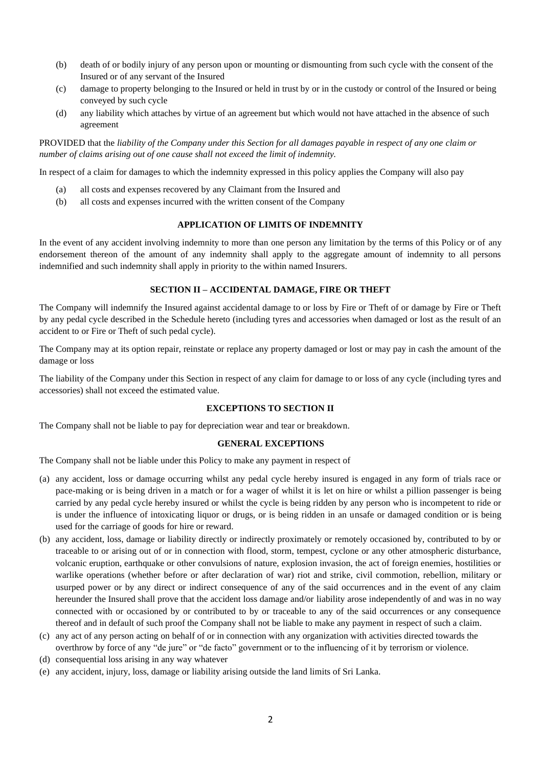- (b) death of or bodily injury of any person upon or mounting or dismounting from such cycle with the consent of the Insured or of any servant of the Insured
- (c) damage to property belonging to the Insured or held in trust by or in the custody or control of the Insured or being conveyed by such cycle
- (d) any liability which attaches by virtue of an agreement but which would not have attached in the absence of such agreement

PROVIDED that the *liability of the Company under this Section for all damages payable in respect of any one claim or number of claims arising out of one cause shall not exceed the limit of indemnity.*

In respect of a claim for damages to which the indemnity expressed in this policy applies the Company will also pay

- (a) all costs and expenses recovered by any Claimant from the Insured and
- (b) all costs and expenses incurred with the written consent of the Company

### **APPLICATION OF LIMITS OF INDEMNITY**

In the event of any accident involving indemnity to more than one person any limitation by the terms of this Policy or of any endorsement thereon of the amount of any indemnity shall apply to the aggregate amount of indemnity to all persons indemnified and such indemnity shall apply in priority to the within named Insurers.

### **SECTION II – ACCIDENTAL DAMAGE, FIRE OR THEFT**

The Company will indemnify the Insured against accidental damage to or loss by Fire or Theft of or damage by Fire or Theft by any pedal cycle described in the Schedule hereto (including tyres and accessories when damaged or lost as the result of an accident to or Fire or Theft of such pedal cycle).

The Company may at its option repair, reinstate or replace any property damaged or lost or may pay in cash the amount of the damage or loss

The liability of the Company under this Section in respect of any claim for damage to or loss of any cycle (including tyres and accessories) shall not exceed the estimated value.

#### **EXCEPTIONS TO SECTION II**

The Company shall not be liable to pay for depreciation wear and tear or breakdown.

#### **GENERAL EXCEPTIONS**

The Company shall not be liable under this Policy to make any payment in respect of

- (a) any accident, loss or damage occurring whilst any pedal cycle hereby insured is engaged in any form of trials race or pace-making or is being driven in a match or for a wager of whilst it is let on hire or whilst a pillion passenger is being carried by any pedal cycle hereby insured or whilst the cycle is being ridden by any person who is incompetent to ride or is under the influence of intoxicating liquor or drugs, or is being ridden in an unsafe or damaged condition or is being used for the carriage of goods for hire or reward.
- (b) any accident, loss, damage or liability directly or indirectly proximately or remotely occasioned by, contributed to by or traceable to or arising out of or in connection with flood, storm, tempest, cyclone or any other atmospheric disturbance, volcanic eruption, earthquake or other convulsions of nature, explosion invasion, the act of foreign enemies, hostilities or warlike operations (whether before or after declaration of war) riot and strike, civil commotion, rebellion, military or usurped power or by any direct or indirect consequence of any of the said occurrences and in the event of any claim hereunder the Insured shall prove that the accident loss damage and/or liability arose independently of and was in no way connected with or occasioned by or contributed to by or traceable to any of the said occurrences or any consequence thereof and in default of such proof the Company shall not be liable to make any payment in respect of such a claim.
- (c) any act of any person acting on behalf of or in connection with any organization with activities directed towards the overthrow by force of any "de jure" or "de facto" government or to the influencing of it by terrorism or violence.
- (d) consequential loss arising in any way whatever
- (e) any accident, injury, loss, damage or liability arising outside the land limits of Sri Lanka.